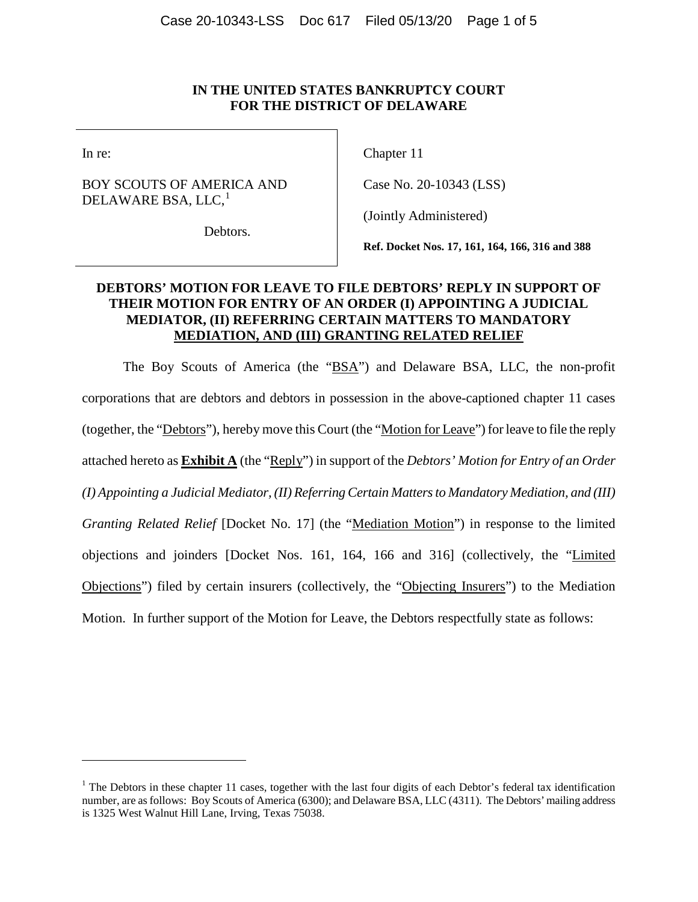#### **IN THE UNITED STATES BANKRUPTCY COURT FOR THE DISTRICT OF DELAWARE**

In re:

 $\overline{a}$ 

## BOY SCOUTS OF AMERICA AND DELAWARE BSA, LLC, $<sup>1</sup>$  $<sup>1</sup>$  $<sup>1</sup>$ </sup>

Chapter 11

Case No. 20-10343 (LSS)

(Jointly Administered)

Debtors.

**Ref. Docket Nos. 17, 161, 164, 166, 316 and 388**

## **DEBTORS' MOTION FOR LEAVE TO FILE DEBTORS' REPLY IN SUPPORT OF THEIR MOTION FOR ENTRY OF AN ORDER (I) APPOINTING A JUDICIAL MEDIATOR, (II) REFERRING CERTAIN MATTERS TO MANDATORY MEDIATION, AND (III) GRANTING RELATED RELIEF**

The Boy Scouts of America (the "BSA") and Delaware BSA, LLC, the non-profit corporations that are debtors and debtors in possession in the above-captioned chapter 11 cases (together, the "Debtors"), hereby move this Court (the "Motion for Leave") for leave to file the reply attached hereto as **Exhibit A** (the "Reply") in support of the *Debtors' Motion for Entry of an Order (I) Appointing a Judicial Mediator, (II) Referring Certain Matters to Mandatory Mediation, and (III) Granting Related Relief* [Docket No. 17] (the "Mediation Motion") in response to the limited objections and joinders [Docket Nos. 161, 164, 166 and 316] (collectively, the "Limited Objections") filed by certain insurers (collectively, the "Objecting Insurers") to the Mediation Motion. In further support of the Motion for Leave, the Debtors respectfully state as follows:

<sup>&</sup>lt;sup>1</sup> The Debtors in these chapter 11 cases, together with the last four digits of each Debtor's federal tax identification number, are as follows: Boy Scouts of America (6300); and Delaware BSA, LLC (4311). The Debtors' mailing address is 1325 West Walnut Hill Lane, Irving, Texas 75038.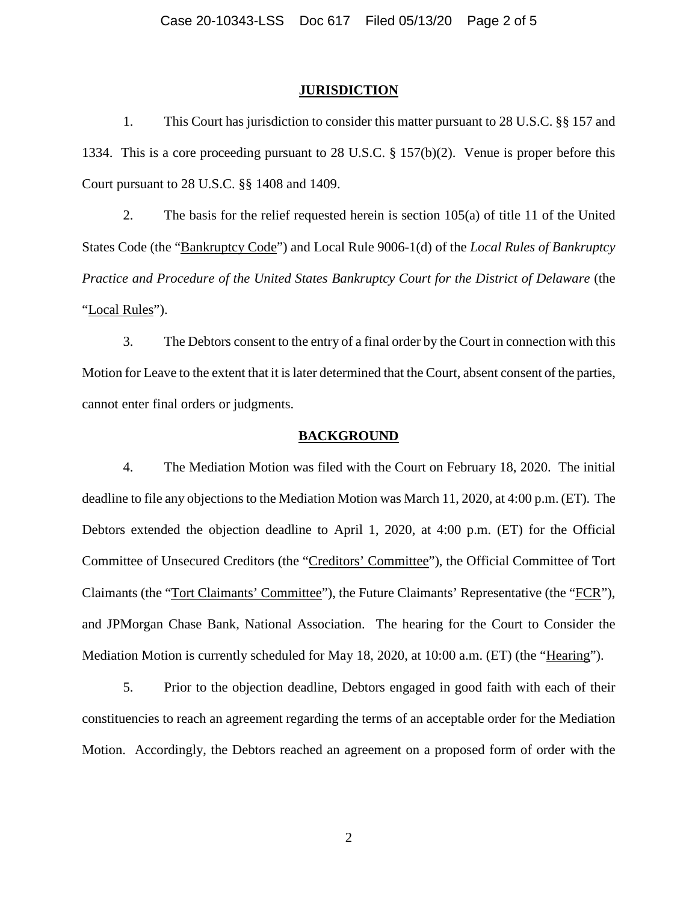#### **JURISDICTION**

1. This Court has jurisdiction to consider this matter pursuant to 28 U.S.C. §§ 157 and 1334. This is a core proceeding pursuant to 28 U.S.C. § 157(b)(2). Venue is proper before this Court pursuant to 28 U.S.C. §§ 1408 and 1409.

2. The basis for the relief requested herein is section 105(a) of title 11 of the United States Code (the "Bankruptcy Code") and Local Rule 9006-1(d) of the *Local Rules of Bankruptcy Practice and Procedure of the United States Bankruptcy Court for the District of Delaware* (the "Local Rules").

3. The Debtors consent to the entry of a final order by the Court in connection with this Motion for Leave to the extent that it is later determined that the Court, absent consent of the parties, cannot enter final orders or judgments.

#### **BACKGROUND**

4. The Mediation Motion was filed with the Court on February 18, 2020. The initial deadline to file any objections to the Mediation Motion was March 11, 2020, at 4:00 p.m. (ET). The Debtors extended the objection deadline to April 1, 2020, at 4:00 p.m. (ET) for the Official Committee of Unsecured Creditors (the "Creditors' Committee"), the Official Committee of Tort Claimants (the "Tort Claimants' Committee"), the Future Claimants' Representative (the "FCR"), and JPMorgan Chase Bank, National Association. The hearing for the Court to Consider the Mediation Motion is currently scheduled for May 18, 2020, at 10:00 a.m. (ET) (the "Hearing").

5. Prior to the objection deadline, Debtors engaged in good faith with each of their constituencies to reach an agreement regarding the terms of an acceptable order for the Mediation Motion. Accordingly, the Debtors reached an agreement on a proposed form of order with the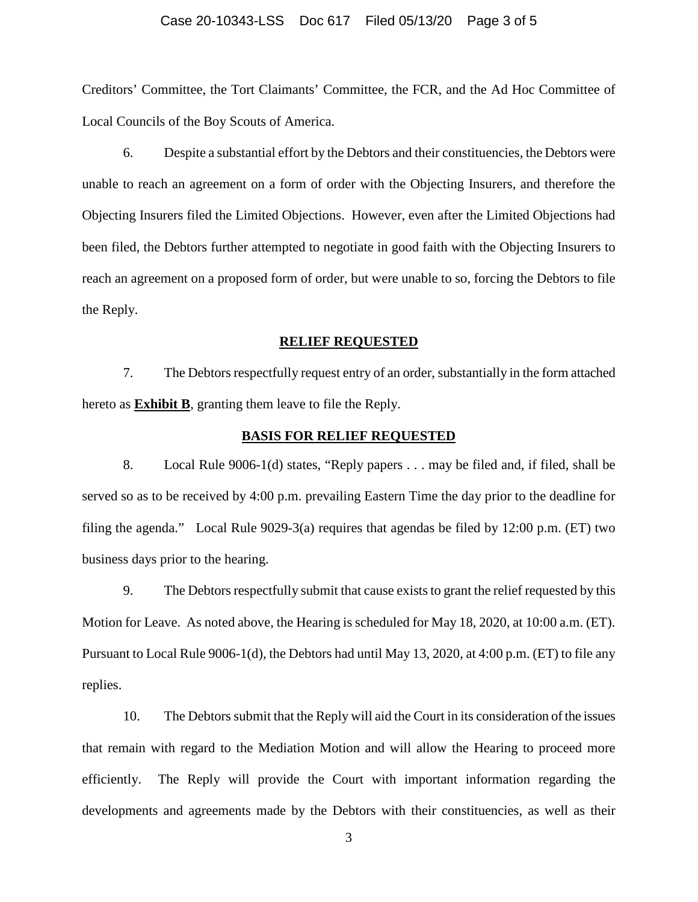#### Case 20-10343-LSS Doc 617 Filed 05/13/20 Page 3 of 5

Creditors' Committee, the Tort Claimants' Committee, the FCR, and the Ad Hoc Committee of Local Councils of the Boy Scouts of America.

6. Despite a substantial effort by the Debtors and their constituencies, the Debtors were unable to reach an agreement on a form of order with the Objecting Insurers, and therefore the Objecting Insurers filed the Limited Objections. However, even after the Limited Objections had been filed, the Debtors further attempted to negotiate in good faith with the Objecting Insurers to reach an agreement on a proposed form of order, but were unable to so, forcing the Debtors to file the Reply.

#### **RELIEF REQUESTED**

7. The Debtors respectfully request entry of an order, substantially in the form attached hereto as **Exhibit B**, granting them leave to file the Reply.

#### **BASIS FOR RELIEF REQUESTED**

8. Local Rule 9006-1(d) states, "Reply papers . . . may be filed and, if filed, shall be served so as to be received by 4:00 p.m. prevailing Eastern Time the day prior to the deadline for filing the agenda." Local Rule 9029-3(a) requires that agendas be filed by 12:00 p.m. (ET) two business days prior to the hearing.

9. The Debtors respectfully submit that cause exists to grant the relief requested by this Motion for Leave. As noted above, the Hearing is scheduled for May 18, 2020, at 10:00 a.m. (ET). Pursuant to Local Rule 9006-1(d), the Debtors had until May 13, 2020, at 4:00 p.m. (ET) to file any replies.

10. The Debtors submit that the Reply will aid the Court in its consideration of the issues that remain with regard to the Mediation Motion and will allow the Hearing to proceed more efficiently. The Reply will provide the Court with important information regarding the developments and agreements made by the Debtors with their constituencies, as well as their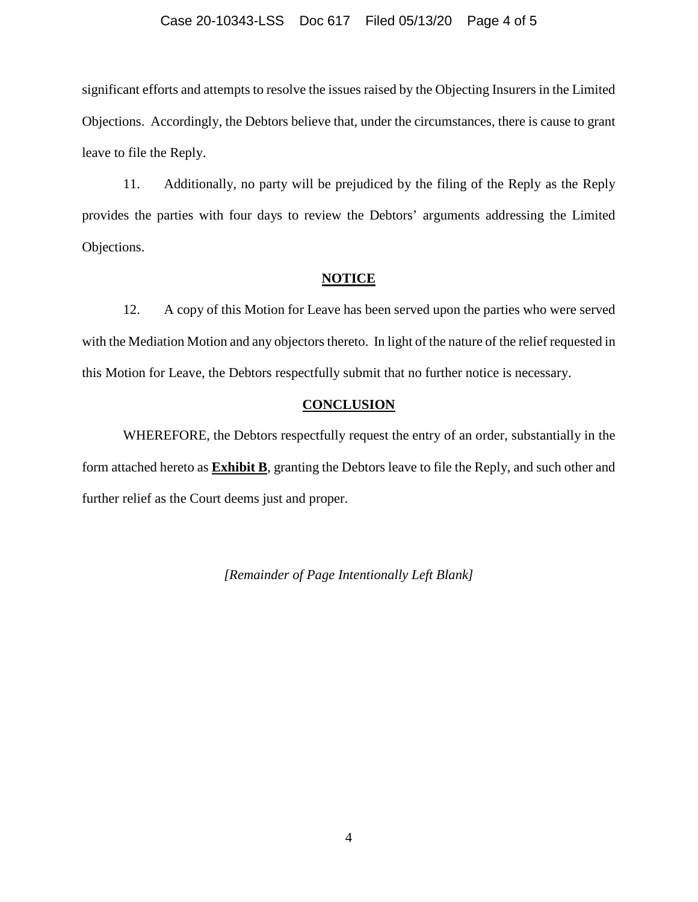#### Case 20-10343-LSS Doc 617 Filed 05/13/20 Page 4 of 5

significant efforts and attempts to resolve the issues raised by the Objecting Insurers in the Limited Objections. Accordingly, the Debtors believe that, under the circumstances, there is cause to grant leave to file the Reply.

11. Additionally, no party will be prejudiced by the filing of the Reply as the Reply provides the parties with four days to review the Debtors' arguments addressing the Limited Objections.

#### **NOTICE**

12. A copy of this Motion for Leave has been served upon the parties who were served with the Mediation Motion and any objectors thereto. In light of the nature of the relief requested in this Motion for Leave, the Debtors respectfully submit that no further notice is necessary.

#### **CONCLUSION**

WHEREFORE, the Debtors respectfully request the entry of an order, substantially in the form attached hereto as **Exhibit B**, granting the Debtors leave to file the Reply, and such other and further relief as the Court deems just and proper.

*[Remainder of Page Intentionally Left Blank]*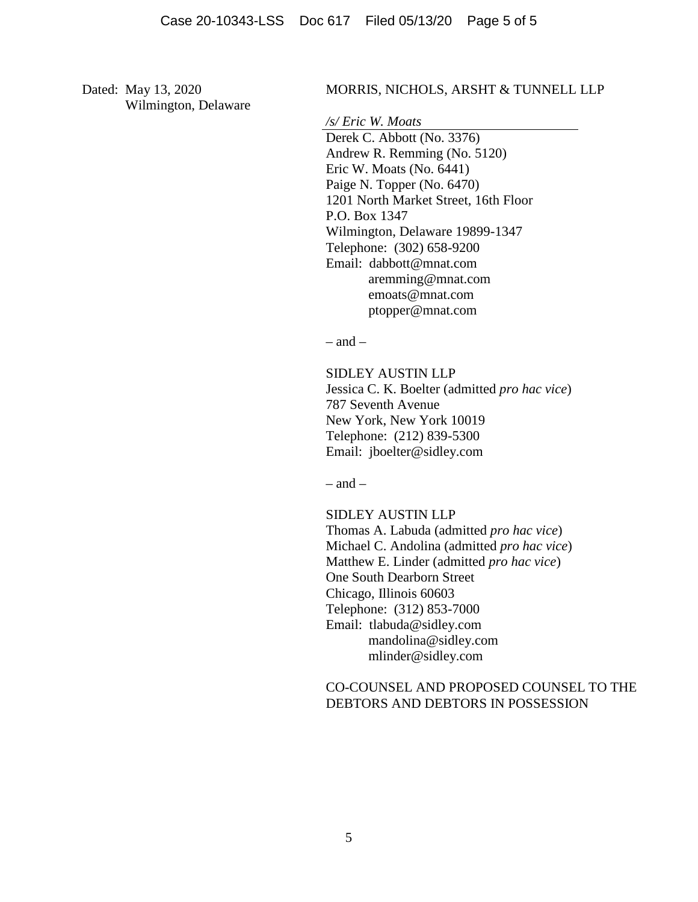Dated: May 13, 2020 Wilmington, Delaware

#### MORRIS, NICHOLS, ARSHT & TUNNELL LLP

*/s/ Eric W. Moats*

Derek C. Abbott (No. 3376) Andrew R. Remming (No. 5120) Eric W. Moats (No. 6441) Paige N. Topper (No. 6470) 1201 North Market Street, 16th Floor P.O. Box 1347 Wilmington, Delaware 19899-1347 Telephone: (302) 658-9200 Email: dabbott@mnat.com aremming@mnat.com emoats@mnat.com ptopper@mnat.com

 $-$  and  $-$ 

SIDLEY AUSTIN LLP Jessica C. K. Boelter (admitted *pro hac vice*) 787 Seventh Avenue New York, New York 10019 Telephone: (212) 839-5300 Email: jboelter@sidley.com

 $-$  and  $-$ 

SIDLEY AUSTIN LLP Thomas A. Labuda (admitted *pro hac vice*) Michael C. Andolina (admitted *pro hac vice*) Matthew E. Linder (admitted *pro hac vice*) One South Dearborn Street Chicago, Illinois 60603 Telephone: (312) 853-7000 Email: tlabuda@sidley.com mandolina@sidley.com mlinder@sidley.com

## CO-COUNSEL AND PROPOSED COUNSEL TO THE DEBTORS AND DEBTORS IN POSSESSION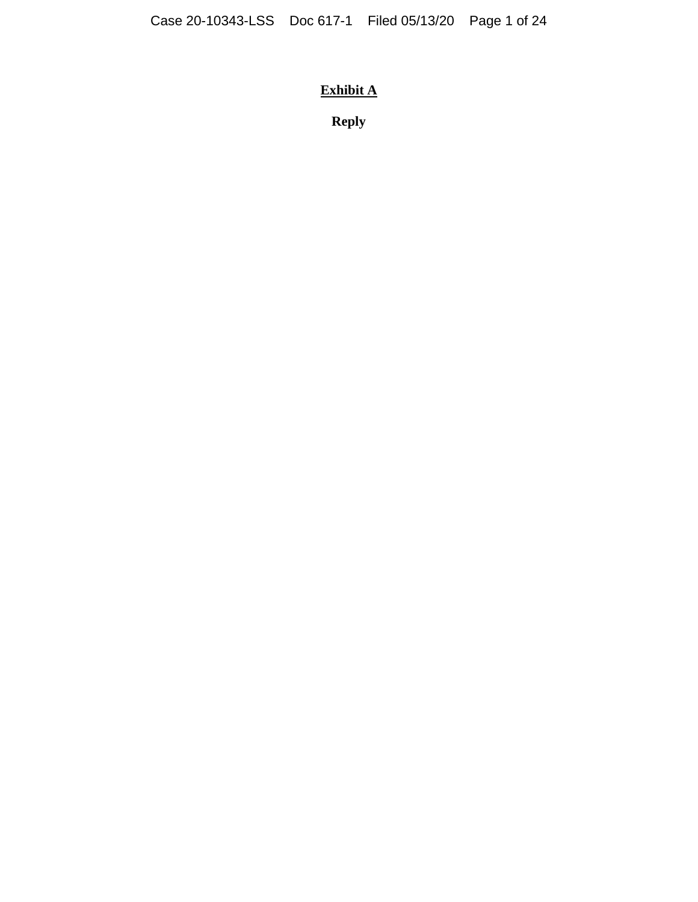# **Exhibit A**

**Reply**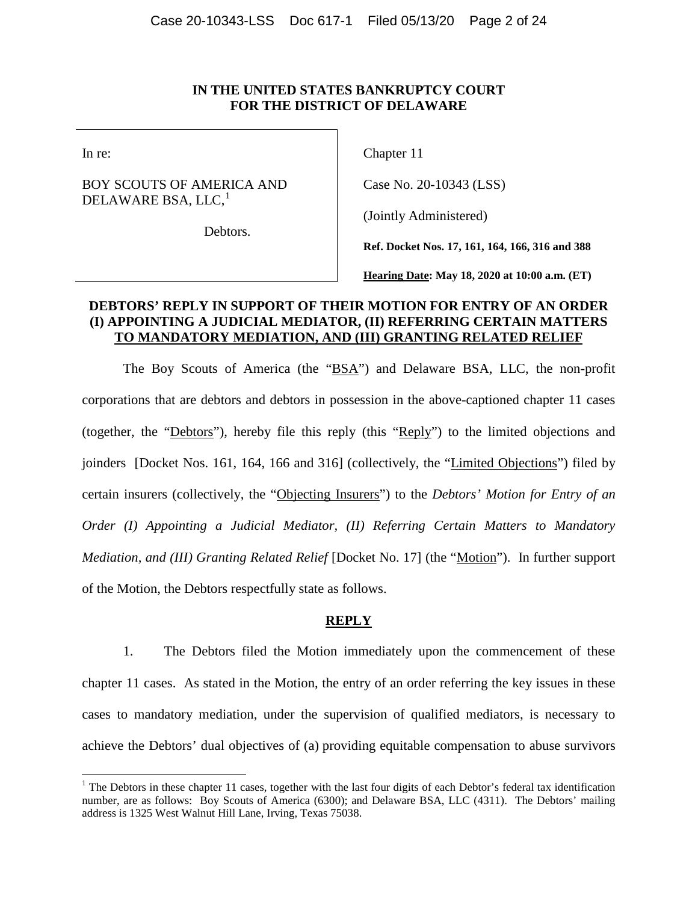#### **IN THE UNITED STATES BANKRUPTCY COURT FOR THE DISTRICT OF DELAWARE**

In re:

## BOY SCOUTS OF AMERICA AND DELAWARE BSA, LLC, $^{\rm 1}$  $^{\rm 1}$  $^{\rm 1}$

Debtors.

Chapter 11

Case No. 20-10343 (LSS)

(Jointly Administered)

**Ref. Docket Nos. 17, 161, 164, 166, 316 and 388**

**Hearing Date: May 18, 2020 at 10:00 a.m. (ET)** 

### **DEBTORS' REPLY IN SUPPORT OF THEIR MOTION FOR ENTRY OF AN ORDER (I) APPOINTING A JUDICIAL MEDIATOR, (II) REFERRING CERTAIN MATTERS TO MANDATORY MEDIATION, AND (III) GRANTING RELATED RELIEF**

The Boy Scouts of America (the "BSA") and Delaware BSA, LLC, the non-profit corporations that are debtors and debtors in possession in the above-captioned chapter 11 cases (together, the "Debtors"), hereby file this reply (this "Reply") to the limited objections and joinders [Docket Nos. 161, 164, 166 and 316] (collectively, the "Limited Objections") filed by certain insurers (collectively, the "Objecting Insurers") to the *Debtors' Motion for Entry of an Order (I) Appointing a Judicial Mediator, (II) Referring Certain Matters to Mandatory Mediation, and (III) Granting Related Relief* [Docket No. 17] (the "Motion"). In further support of the Motion, the Debtors respectfully state as follows.

#### **REPLY**

1. The Debtors filed the Motion immediately upon the commencement of these chapter 11 cases. As stated in the Motion, the entry of an order referring the key issues in these cases to mandatory mediation, under the supervision of qualified mediators, is necessary to achieve the Debtors' dual objectives of (a) providing equitable compensation to abuse survivors

<sup>&</sup>lt;sup>1</sup> The Debtors in these chapter 11 cases, together with the last four digits of each Debtor's federal tax identification number, are as follows: Boy Scouts of America (6300); and Delaware BSA, LLC (4311). The Debtors' mailing address is 1325 West Walnut Hill Lane, Irving, Texas 75038.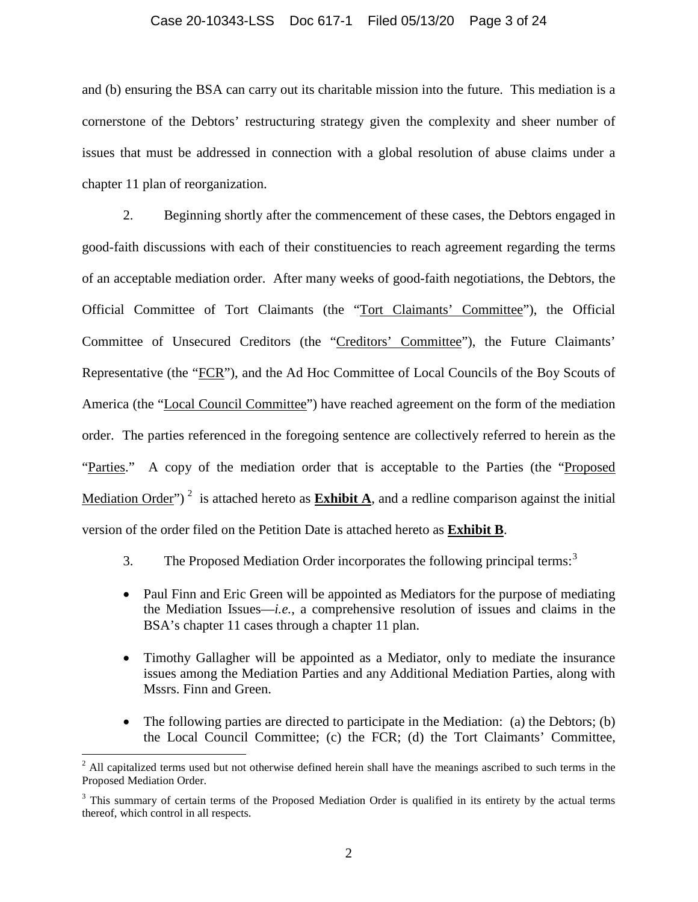#### Case 20-10343-LSS Doc 617-1 Filed 05/13/20 Page 3 of 24

and (b) ensuring the BSA can carry out its charitable mission into the future. This mediation is a cornerstone of the Debtors' restructuring strategy given the complexity and sheer number of issues that must be addressed in connection with a global resolution of abuse claims under a chapter 11 plan of reorganization.

2. Beginning shortly after the commencement of these cases, the Debtors engaged in good-faith discussions with each of their constituencies to reach agreement regarding the terms of an acceptable mediation order. After many weeks of good-faith negotiations, the Debtors, the Official Committee of Tort Claimants (the "Tort Claimants' Committee"), the Official Committee of Unsecured Creditors (the "Creditors' Committee"), the Future Claimants' Representative (the "FCR"), and the Ad Hoc Committee of Local Councils of the Boy Scouts of America (the "Local Council Committee") have reached agreement on the form of the mediation order. The parties referenced in the foregoing sentence are collectively referred to herein as the "Parties." A copy of the mediation order that is acceptable to the Parties (the "Proposed Mediation Order")<sup>[2](#page-30-0)</sup> is attached hereto as **Exhibit A**, and a redline comparison against the initial version of the order filed on the Petition Date is attached hereto as **Exhibit B**.

- [3](#page-30-0). The Proposed Mediation Order incorporates the following principal terms:<sup>3</sup>
- Paul Finn and Eric Green will be appointed as Mediators for the purpose of mediating the Mediation Issues—*i.e.*, a comprehensive resolution of issues and claims in the BSA's chapter 11 cases through a chapter 11 plan.
- Timothy Gallagher will be appointed as a Mediator, only to mediate the insurance issues among the Mediation Parties and any Additional Mediation Parties, along with Mssrs. Finn and Green.
- The following parties are directed to participate in the Mediation: (a) the Debtors; (b) the Local Council Committee; (c) the FCR; (d) the Tort Claimants' Committee,

 $<sup>2</sup>$  All capitalized terms used but not otherwise defined herein shall have the meanings ascribed to such terms in the</sup> Proposed Mediation Order.

 $3$  This summary of certain terms of the Proposed Mediation Order is qualified in its entirety by the actual terms thereof, which control in all respects.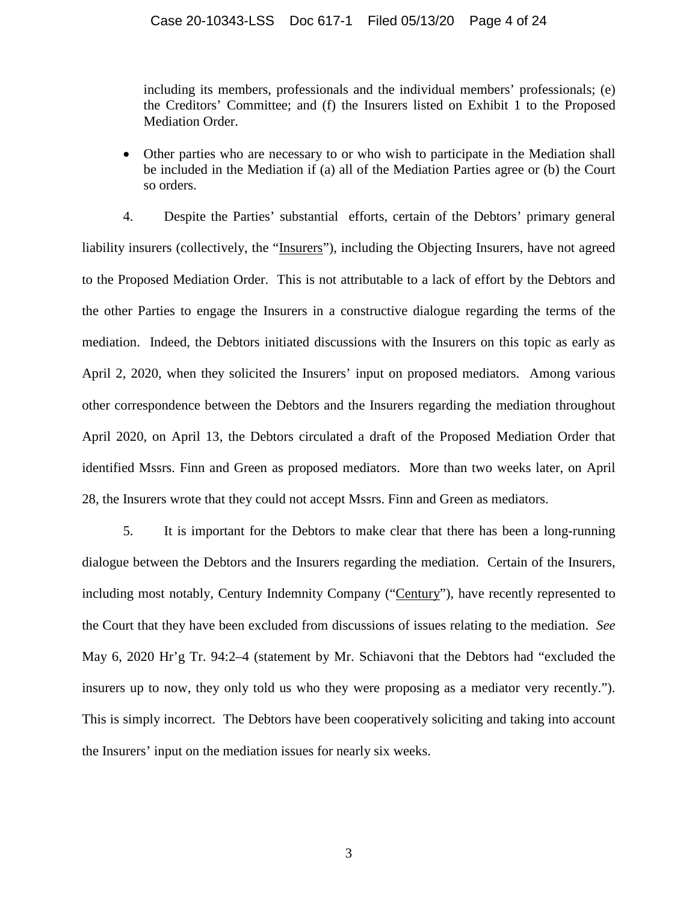including its members, professionals and the individual members' professionals; (e) the Creditors' Committee; and (f) the Insurers listed on Exhibit 1 to the Proposed Mediation Order.

• Other parties who are necessary to or who wish to participate in the Mediation shall be included in the Mediation if (a) all of the Mediation Parties agree or (b) the Court so orders.

4. Despite the Parties' substantial efforts, certain of the Debtors' primary general liability insurers (collectively, the "Insurers"), including the Objecting Insurers, have not agreed to the Proposed Mediation Order. This is not attributable to a lack of effort by the Debtors and the other Parties to engage the Insurers in a constructive dialogue regarding the terms of the mediation. Indeed, the Debtors initiated discussions with the Insurers on this topic as early as April 2, 2020, when they solicited the Insurers' input on proposed mediators. Among various other correspondence between the Debtors and the Insurers regarding the mediation throughout April 2020, on April 13, the Debtors circulated a draft of the Proposed Mediation Order that identified Mssrs. Finn and Green as proposed mediators. More than two weeks later, on April 28, the Insurers wrote that they could not accept Mssrs. Finn and Green as mediators.

5. It is important for the Debtors to make clear that there has been a long-running dialogue between the Debtors and the Insurers regarding the mediation. Certain of the Insurers, including most notably, Century Indemnity Company ("Century"), have recently represented to the Court that they have been excluded from discussions of issues relating to the mediation. *See*  May 6, 2020 Hr'g Tr. 94:2–4 (statement by Mr. Schiavoni that the Debtors had "excluded the insurers up to now, they only told us who they were proposing as a mediator very recently."). This is simply incorrect. The Debtors have been cooperatively soliciting and taking into account the Insurers' input on the mediation issues for nearly six weeks.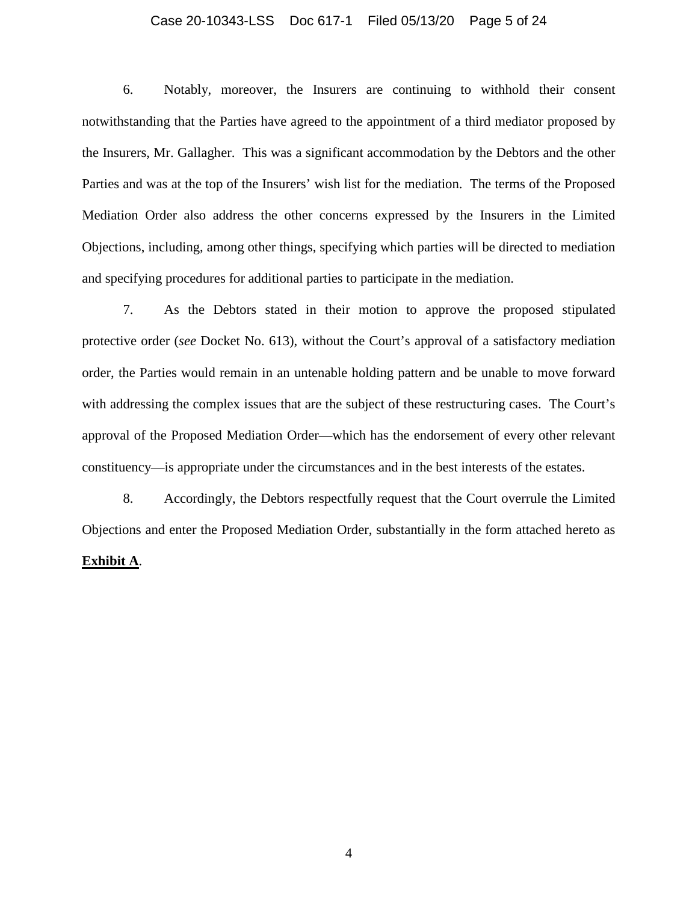#### Case 20-10343-LSS Doc 617-1 Filed 05/13/20 Page 5 of 24

6. Notably, moreover, the Insurers are continuing to withhold their consent notwithstanding that the Parties have agreed to the appointment of a third mediator proposed by the Insurers, Mr. Gallagher. This was a significant accommodation by the Debtors and the other Parties and was at the top of the Insurers' wish list for the mediation. The terms of the Proposed Mediation Order also address the other concerns expressed by the Insurers in the Limited Objections, including, among other things, specifying which parties will be directed to mediation and specifying procedures for additional parties to participate in the mediation.

7. As the Debtors stated in their motion to approve the proposed stipulated protective order (*see* Docket No. 613), without the Court's approval of a satisfactory mediation order, the Parties would remain in an untenable holding pattern and be unable to move forward with addressing the complex issues that are the subject of these restructuring cases. The Court's approval of the Proposed Mediation Order—which has the endorsement of every other relevant constituency—is appropriate under the circumstances and in the best interests of the estates.

8. Accordingly, the Debtors respectfully request that the Court overrule the Limited Objections and enter the Proposed Mediation Order, substantially in the form attached hereto as **Exhibit A**.

4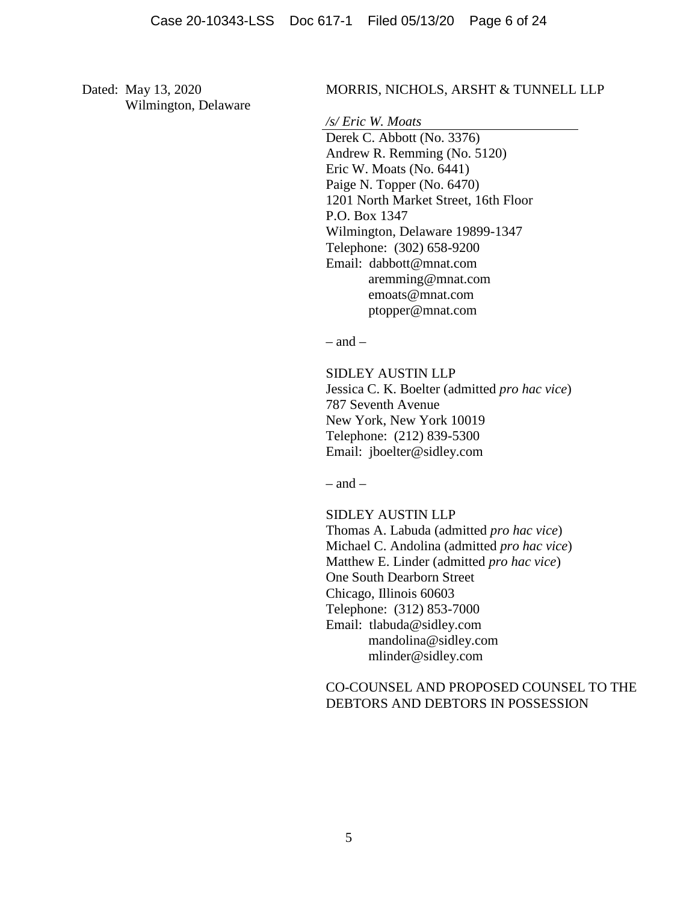Dated: May 13, 2020 Wilmington, Delaware

#### MORRIS, NICHOLS, ARSHT & TUNNELL LLP

*/s/ Eric W. Moats*

Derek C. Abbott (No. 3376) Andrew R. Remming (No. 5120) Eric W. Moats (No. 6441) Paige N. Topper (No. 6470) 1201 North Market Street, 16th Floor P.O. Box 1347 Wilmington, Delaware 19899-1347 Telephone: (302) 658-9200 Email: dabbott@mnat.com aremming@mnat.com emoats@mnat.com ptopper@mnat.com

 $-$  and  $-$ 

SIDLEY AUSTIN LLP Jessica C. K. Boelter (admitted *pro hac vice*) 787 Seventh Avenue New York, New York 10019 Telephone: (212) 839-5300 Email: jboelter@sidley.com

 $-$  and  $-$ 

SIDLEY AUSTIN LLP Thomas A. Labuda (admitted *pro hac vice*) Michael C. Andolina (admitted *pro hac vice*) Matthew E. Linder (admitted *pro hac vice*) One South Dearborn Street Chicago, Illinois 60603 Telephone: (312) 853-7000 Email: tlabuda@sidley.com mandolina@sidley.com mlinder@sidley.com

## CO-COUNSEL AND PROPOSED COUNSEL TO THE DEBTORS AND DEBTORS IN POSSESSION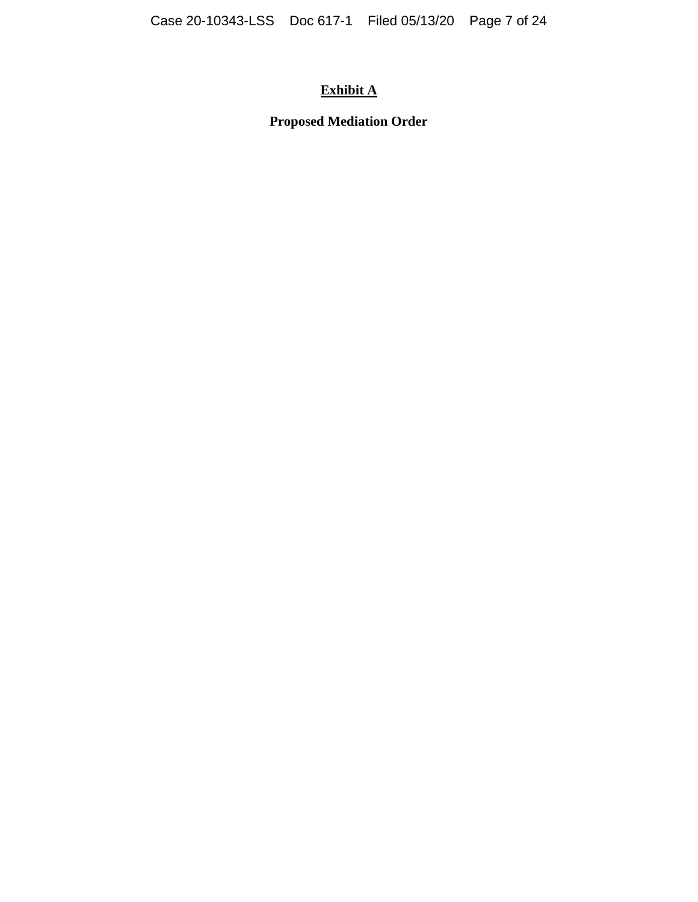# **Exhibit A**

**Proposed Mediation Order**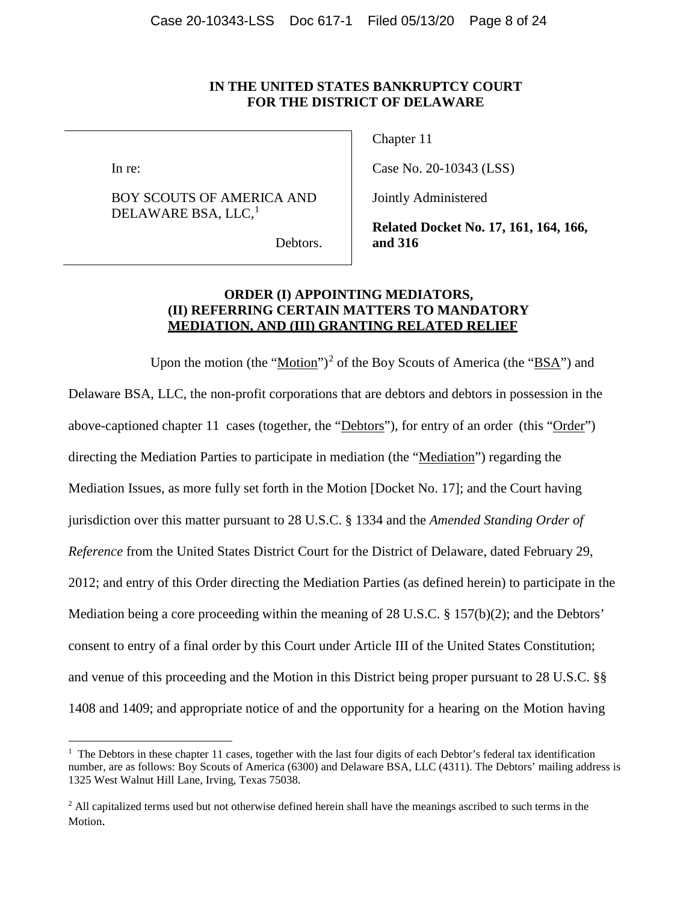## **IN THE UNITED STATES BANKRUPTCY COURT FOR THE DISTRICT OF DELAWARE**

In re:

## BOY SCOUTS OF AMERICA AND DELAWARE BSA, LLC, $<sup>1</sup>$  $<sup>1</sup>$  $<sup>1</sup>$ </sup>

Chapter 11

Case No. 20-10343 (LSS)

Jointly Administered

Debtors.

**Related Docket No. 17, 161, 164, 166, and 316** 

## **ORDER (I) APPOINTING MEDIATORS, (II) REFERRING CERTAIN MATTERS TO MANDATORY MEDIATION, AND (III) GRANTING RELATED RELIEF**

Upon the motion (the " $\text{Motion}$ ")<sup>[2](#page-30-0)</sup> of the Boy Scouts of America (the " $\overrightarrow{BSA}$ ") and Delaware BSA, LLC, the non-profit corporations that are debtors and debtors in possession in the above-captioned chapter 11 cases (together, the "Debtors"), for entry of an order (this "Order") directing the Mediation Parties to participate in mediation (the "Mediation") regarding the Mediation Issues, as more fully set forth in the Motion [Docket No. 17]; and the Court having jurisdiction over this matter pursuant to 28 U.S.C. § 1334 and the *Amended Standing Order of Reference* from the United States District Court for the District of Delaware, dated February 29, 2012; and entry of this Order directing the Mediation Parties (as defined herein) to participate in the Mediation being a core proceeding within the meaning of 28 U.S.C. § 157(b)(2); and the Debtors' consent to entry of a final order by this Court under Article III of the United States Constitution; and venue of this proceeding and the Motion in this District being proper pursuant to 28 U.S.C. §§ 1408 and 1409; and appropriate notice of and the opportunity for a hearing on the Motion having

<sup>&</sup>lt;sup>1</sup> The Debtors in these chapter 11 cases, together with the last four digits of each Debtor's federal tax identification number, are as follows: Boy Scouts of America (6300) and Delaware BSA, LLC (4311). The Debtors' mailing address is 1325 West Walnut Hill Lane, Irving, Texas 75038.

 $<sup>2</sup>$  All capitalized terms used but not otherwise defined herein shall have the meanings ascribed to such terms in the</sup> Motion.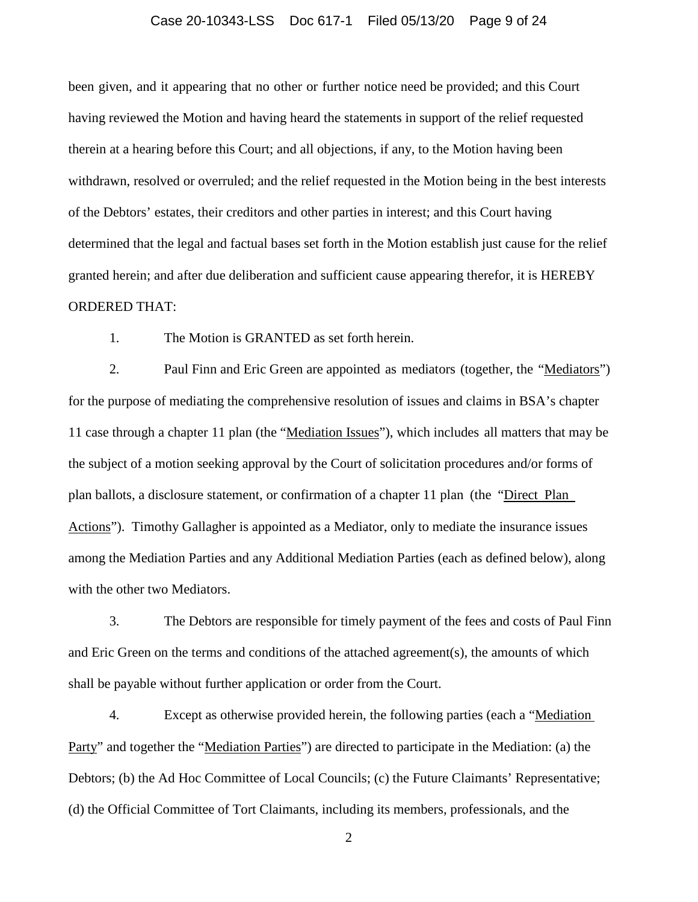#### Case 20-10343-LSS Doc 617-1 Filed 05/13/20 Page 9 of 24

been given, and it appearing that no other or further notice need be provided; and this Court having reviewed the Motion and having heard the statements in support of the relief requested therein at a hearing before this Court; and all objections, if any, to the Motion having been withdrawn, resolved or overruled; and the relief requested in the Motion being in the best interests of the Debtors' estates, their creditors and other parties in interest; and this Court having determined that the legal and factual bases set forth in the Motion establish just cause for the relief granted herein; and after due deliberation and sufficient cause appearing therefor, it is HEREBY ORDERED THAT:

1. The Motion is GRANTED as set forth herein.

2. Paul Finn and Eric Green are appointed as mediators (together, the "Mediators") for the purpose of mediating the comprehensive resolution of issues and claims in BSA's chapter 11 case through a chapter 11 plan (the "Mediation Issues"), which includes all matters that may be the subject of a motion seeking approval by the Court of solicitation procedures and/or forms of plan ballots, a disclosure statement, or confirmation of a chapter 11 plan (the "Direct Plan Actions"). Timothy Gallagher is appointed as a Mediator, only to mediate the insurance issues among the Mediation Parties and any Additional Mediation Parties (each as defined below), along with the other two Mediators.

3. The Debtors are responsible for timely payment of the fees and costs of Paul Finn and Eric Green on the terms and conditions of the attached agreement(s), the amounts of which shall be payable without further application or order from the Court.

4. Except as otherwise provided herein, the following parties (each a "Mediation Party" and together the "Mediation Parties") are directed to participate in the Mediation: (a) the Debtors; (b) the Ad Hoc Committee of Local Councils; (c) the Future Claimants' Representative; (d) the Official Committee of Tort Claimants, including its members, professionals, and the

2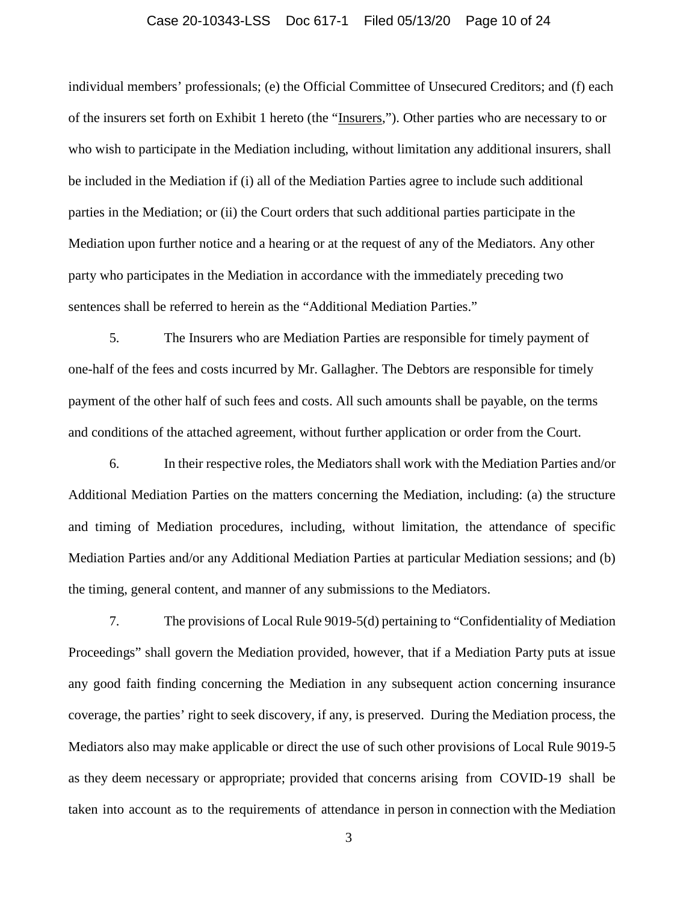#### Case 20-10343-LSS Doc 617-1 Filed 05/13/20 Page 10 of 24

individual members' professionals; (e) the Official Committee of Unsecured Creditors; and (f) each of the insurers set forth on Exhibit 1 hereto (the "Insurers,"). Other parties who are necessary to or who wish to participate in the Mediation including, without limitation any additional insurers, shall be included in the Mediation if (i) all of the Mediation Parties agree to include such additional parties in the Mediation; or (ii) the Court orders that such additional parties participate in the Mediation upon further notice and a hearing or at the request of any of the Mediators. Any other party who participates in the Mediation in accordance with the immediately preceding two sentences shall be referred to herein as the "Additional Mediation Parties."

5. The Insurers who are Mediation Parties are responsible for timely payment of one-half of the fees and costs incurred by Mr. Gallagher. The Debtors are responsible for timely payment of the other half of such fees and costs. All such amounts shall be payable, on the terms and conditions of the attached agreement, without further application or order from the Court.

6. In their respective roles, the Mediators shall work with the Mediation Parties and/or Additional Mediation Parties on the matters concerning the Mediation, including: (a) the structure and timing of Mediation procedures, including, without limitation, the attendance of specific Mediation Parties and/or any Additional Mediation Parties at particular Mediation sessions; and (b) the timing, general content, and manner of any submissions to the Mediators.

7. The provisions of Local Rule 9019-5(d) pertaining to "Confidentiality of Mediation Proceedings" shall govern the Mediation provided, however, that if a Mediation Party puts at issue any good faith finding concerning the Mediation in any subsequent action concerning insurance coverage, the parties' right to seek discovery, if any, is preserved. During the Mediation process, the Mediators also may make applicable or direct the use of such other provisions of Local Rule 9019-5 as they deem necessary or appropriate; provided that concerns arising from COVID-19 shall be taken into account as to the requirements of attendance in person in connection with the Mediation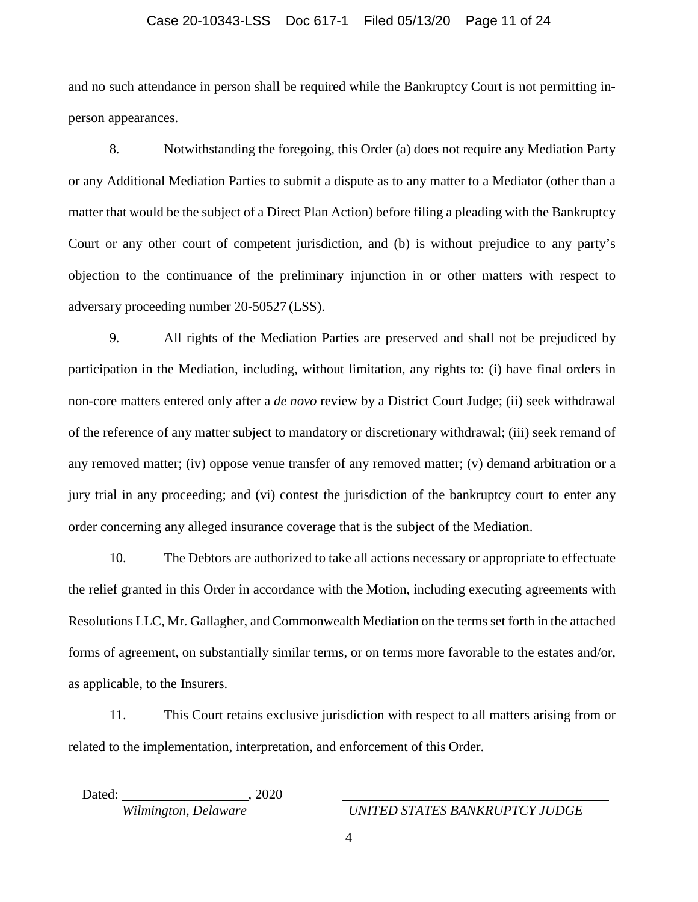#### Case 20-10343-LSS Doc 617-1 Filed 05/13/20 Page 11 of 24

and no such attendance in person shall be required while the Bankruptcy Court is not permitting inperson appearances.

8. Notwithstanding the foregoing, this Order (a) does not require any Mediation Party or any Additional Mediation Parties to submit a dispute as to any matter to a Mediator (other than a matter that would be the subject of a Direct Plan Action) before filing a pleading with the Bankruptcy Court or any other court of competent jurisdiction, and (b) is without prejudice to any party's objection to the continuance of the preliminary injunction in or other matters with respect to adversary proceeding number 20-50527 (LSS).

9. All rights of the Mediation Parties are preserved and shall not be prejudiced by participation in the Mediation, including, without limitation, any rights to: (i) have final orders in non-core matters entered only after a *de novo* review by a District Court Judge; (ii) seek withdrawal of the reference of any matter subject to mandatory or discretionary withdrawal; (iii) seek remand of any removed matter; (iv) oppose venue transfer of any removed matter; (v) demand arbitration or a jury trial in any proceeding; and (vi) contest the jurisdiction of the bankruptcy court to enter any order concerning any alleged insurance coverage that is the subject of the Mediation.

10. The Debtors are authorized to take all actions necessary or appropriate to effectuate the relief granted in this Order in accordance with the Motion, including executing agreements with Resolutions LLC, Mr. Gallagher, and Commonwealth Mediation on the terms set forth in the attached forms of agreement, on substantially similar terms, or on terms more favorable to the estates and/or, as applicable, to the Insurers.

11. This Court retains exclusive jurisdiction with respect to all matters arising from or related to the implementation, interpretation, and enforcement of this Order.

Dated: 2020

*Wilmington, Delaware UNITED STATES BANKRUPTCY JUDGE*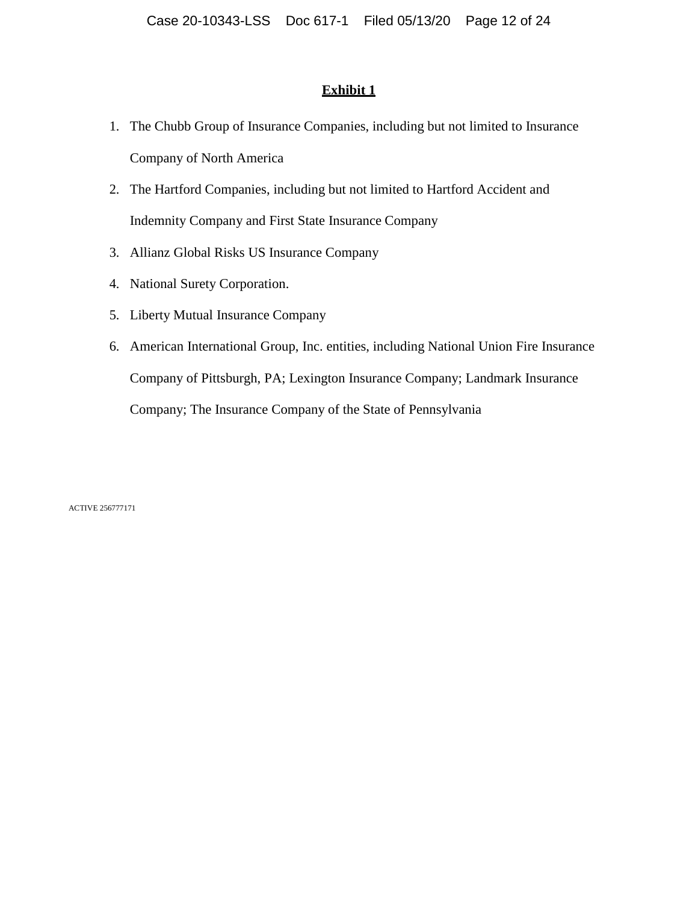## **Exhibit 1**

- 1. The Chubb Group of Insurance Companies, including but not limited to Insurance Company of North America
- 2. The Hartford Companies, including but not limited to Hartford Accident and Indemnity Company and First State Insurance Company
- 3. Allianz Global Risks US Insurance Company
- 4. National Surety Corporation.
- 5. Liberty Mutual Insurance Company
- 6. American International Group, Inc. entities, including National Union Fire Insurance Company of Pittsburgh, PA; Lexington Insurance Company; Landmark Insurance Company; The Insurance Company of the State of Pennsylvania

ACTIVE 256777171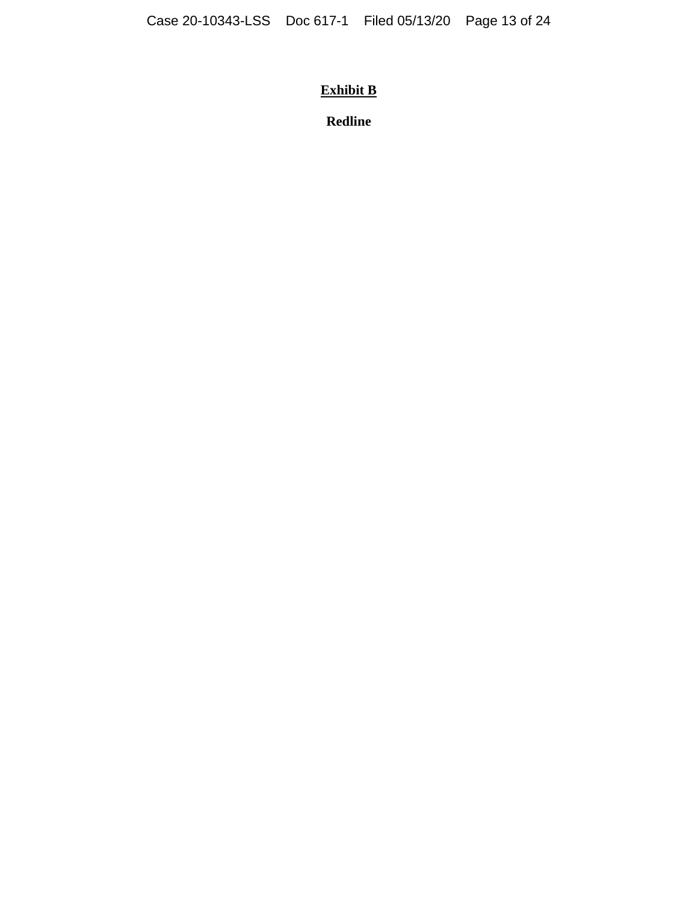# **Exhibit B**

**Redline**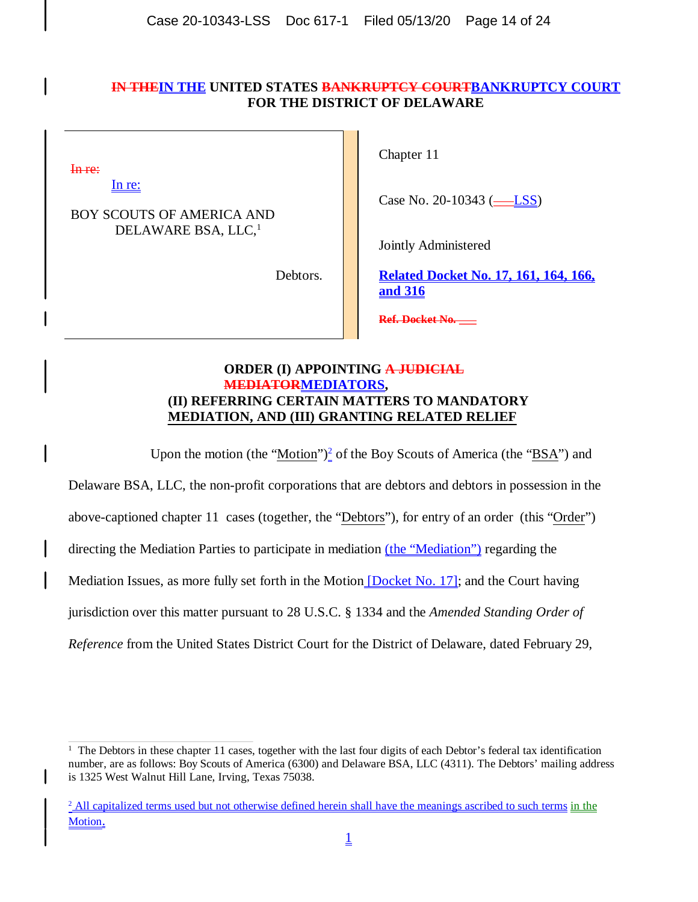## **IN THEIN THE UNITED STATES BANKRUPTCY COURTBANKRUPTCY COURT FOR THE DISTRICT OF DELAWARE**

In re:

In re:

## BOY SCOUTS OF AMERICA AND DELAWARE BSA, LLC,<sup>1</sup>

Debtors.

Chapter 11

Case No. 20-10343  $(\underline{\text{ } -\text{ }LSS})$ 

Jointly Administered

**Related Docket No. 17, 161, 164, 166, and 316**

**Ref. Docket No. \_\_\_**

## **ORDER (I) APPOINTING A JUDICIAL MEDIATORMEDIATORS, (II) REFERRING CERTAIN MATTERS TO MANDATORY MEDIATION, AND (III) GRANTING RELATED RELIEF**

Upon the motion (the "Motion")<sup>2</sup> of the Boy Scouts of America (the "BSA") and

Delaware BSA, LLC, the non-profit corporations that are debtors and debtors in possession in the above-captioned chapter 11 cases (together, the "Debtors"), for entry of an order (this "Order") directing the Mediation Parties to participate in mediation (the "Mediation") regarding the Mediation Issues, as more fully set forth in the Motion Docket No. 17]; and the Court having jurisdiction over this matter pursuant to 28 U.S.C. § 1334 and the *Amended Standing Order of*

*Reference* from the United States District Court for the District of Delaware, dated February 29,

<sup>&</sup>lt;sup>1</sup> The Debtors in these chapter 11 cases, together with the last four digits of each Debtor's federal tax identification number, are as follows: Boy Scouts of America (6300) and Delaware BSA, LLC (4311). The Debtors' mailing address is 1325 West Walnut Hill Lane, Irving, Texas 75038.

 $^2$  All capitalized terms used but not otherwise defined herein shall have the meanings ascribed to such terms in the Motion.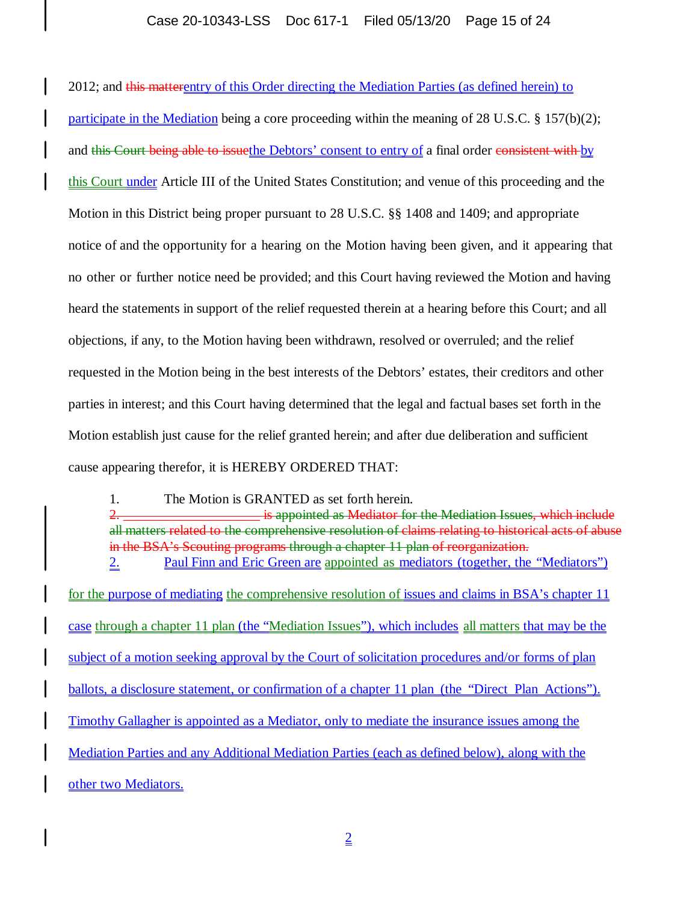#### Case 20-10343-LSS Doc 617-1 Filed 05/13/20 Page 15 of 24

2012; and this matterentry of this Order directing the Mediation Parties (as defined herein) to participate in the Mediation being a core proceeding within the meaning of 28 U.S.C. § 157(b)(2); and this Court being able to issuethe Debtors' consent to entry of a final order consistent with by this Court under Article III of the United States Constitution; and venue of this proceeding and the Motion in this District being proper pursuant to 28 U.S.C. §§ 1408 and 1409; and appropriate notice of and the opportunity for a hearing on the Motion having been given, and it appearing that no other or further notice need be provided; and this Court having reviewed the Motion and having heard the statements in support of the relief requested therein at a hearing before this Court; and all objections, if any, to the Motion having been withdrawn, resolved or overruled; and the relief requested in the Motion being in the best interests of the Debtors' estates, their creditors and other parties in interest; and this Court having determined that the legal and factual bases set forth in the Motion establish just cause for the relief granted herein; and after due deliberation and sufficient cause appearing therefor, it is HEREBY ORDERED THAT:

1. The Motion is GRANTED as set forth herein.

is appointed as Mediator for the Mediation Issues, which include all matters related to the comprehensive resolution of claims relating to historical acts of abuse in the BSA's Scouting programs through a chapter 11 plan of reorganization. 2. **Paul Finn and Eric Green are appointed as mediators (together, the "Mediators")** 

for the purpose of mediating the comprehensive resolution of issues and claims in BSA's chapter 11 case through a chapter 11 plan (the "Mediation Issues"), which includes all matters that may be the subject of a motion seeking approval by the Court of solicitation procedures and/or forms of plan ballots, a disclosure statement, or confirmation of a chapter 11 plan (the "Direct Plan Actions"). Timothy Gallagher is appointed as a Mediator, only to mediate the insurance issues among the Mediation Parties and any Additional Mediation Parties (each as defined below), along with the other two Mediators.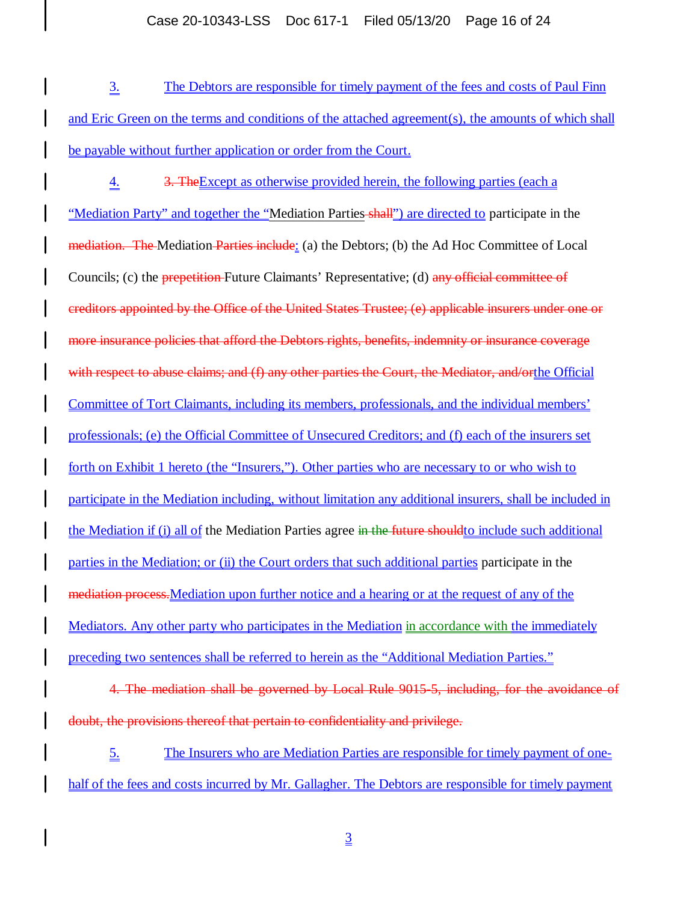3. The Debtors are responsible for timely payment of the fees and costs of Paul Finn and Eric Green on the terms and conditions of the attached agreement(s), the amounts of which shall be payable without further application or order from the Court.

4. 3. The Except as otherwise provided herein, the following parties (each a "Mediation Party" and together the "Mediation Parties shall") are directed to participate in the mediation. The Mediation Parties include: (a) the Debtors; (b) the Ad Hoc Committee of Local Councils; (c) the **prepetition** Future Claimants' Representative; (d) any official committee of creditors appointed by the Office of the United States Trustee; (e) applicable insurers under one or more insurance policies that afford the Debtors rights, benefits, indemnity or insurance coverage with respect to abuse claims; and (f) any other parties the Court, the Mediator, and/orthe Official Committee of Tort Claimants, including its members, professionals, and the individual members' professionals; (e) the Official Committee of Unsecured Creditors; and (f) each of the insurers set forth on Exhibit 1 hereto (the "Insurers,"). Other parties who are necessary to or who wish to participate in the Mediation including, without limitation any additional insurers, shall be included in the Mediation if (i) all of the Mediation Parties agree in the future should to include such additional parties in the Mediation; or (ii) the Court orders that such additional parties participate in the mediation process.Mediation upon further notice and a hearing or at the request of any of the Mediators. Any other party who participates in the Mediation in accordance with the immediately preceding two sentences shall be referred to herein as the "Additional Mediation Parties."

4. The mediation shall be governed by Local Rule 9015-5, including, for the avoidance of doubt, the provisions thereof that pertain to confidentiality and privilege.

5. The Insurers who are Mediation Parties are responsible for timely payment of onehalf of the fees and costs incurred by Mr. Gallagher. The Debtors are responsible for timely payment

3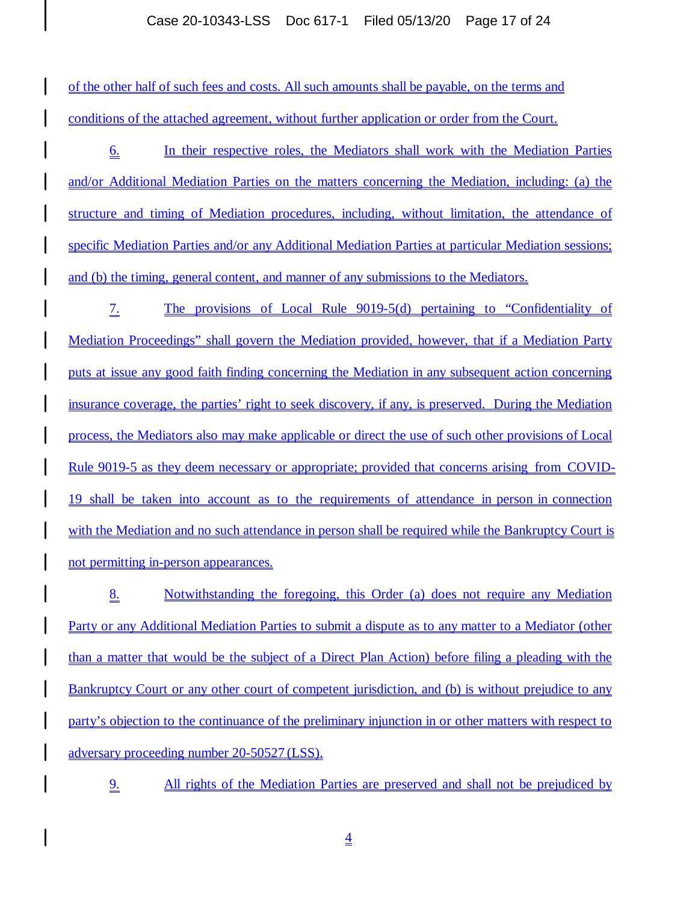#### Case 20-10343-LSS Doc 617-1 Filed 05/13/20 Page 17 of 24

of the other half of such fees and costs. All such amounts shall be payable, on the terms and conditions of the attached agreement, without further application or order from the Court.

6. In their respective roles, the Mediators shall work with the Mediation Parties and/or Additional Mediation Parties on the matters concerning the Mediation, including: (a) the structure and timing of Mediation procedures, including, without limitation, the attendance of specific Mediation Parties and/or any Additional Mediation Parties at particular Mediation sessions; and (b) the timing, general content, and manner of any submissions to the Mediators.

7. The provisions of Local Rule 9019-5(d) pertaining to "Confidentiality of Mediation Proceedings" shall govern the Mediation provided, however, that if a Mediation Party puts at issue any good faith finding concerning the Mediation in any subsequent action concerning insurance coverage, the parties' right to seek discovery, if any, is preserved. During the Mediation process, the Mediators also may make applicable or direct the use of such other provisions of Local Rule 9019-5 as they deem necessary or appropriate; provided that concerns arising from COVID-19 shall be taken into account as to the requirements of attendance in person in connection with the Mediation and no such attendance in person shall be required while the Bankruptcy Court is not permitting in-person appearances.

8. Notwithstanding the foregoing, this Order (a) does not require any Mediation Party or any Additional Mediation Parties to submit a dispute as to any matter to a Mediator (other than a matter that would be the subject of a Direct Plan Action) before filing a pleading with the Bankruptcy Court or any other court of competent jurisdiction, and (b) is without prejudice to any party's objection to the continuance of the preliminary injunction in or other matters with respect to adversary proceeding number 20-50527 (LSS).

9. All rights of the Mediation Parties are preserved and shall not be prejudiced by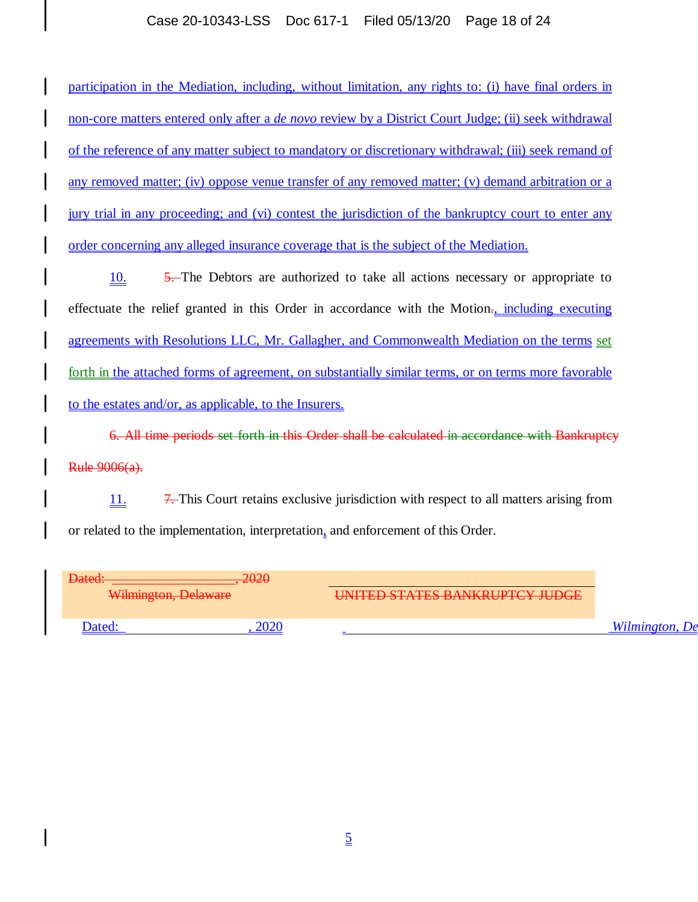## Case 20-10343-LSS Doc 617-1 Filed 05/13/20 Page 18 of 24

participation in the Mediation, including, without limitation, any rights to: (i) have final orders in non-core matters entered only after a *de novo* review by a District Court Judge; (ii) seek withdrawal of the reference of any matter subject to mandatory or discretionary withdrawal; (iii) seek remand of any removed matter; (iv) oppose venue transfer of any removed matter; (v) demand arbitration or a jury trial in any proceeding; and (vi) contest the jurisdiction of the bankruptcy court to enter any order concerning any alleged insurance coverage that is the subject of the Mediation.

10. 5. The Debtors are authorized to take all actions necessary or appropriate to effectuate the relief granted in this Order in accordance with the Motion., including executing agreements with Resolutions LLC, Mr. Gallagher, and Commonwealth Mediation on the terms set forth in the attached forms of agreement, on substantially similar terms, or on terms more favorable to the estates and/or, as applicable, to the Insurers.

6. All time periods set forth in this Order shall be calculated in accordance with Bankruptcy Rule 9006(a).

11. 7. This Court retains exclusive jurisdiction with respect to all matters arising from or related to the implementation, interpretation, and enforcement of this Order.

| Dated:<br>Wilmington, Delaware | , 2020 | UNITED STATES BANKRUPTCY JUDGE |         |
|--------------------------------|--------|--------------------------------|---------|
|                                |        |                                | Wilming |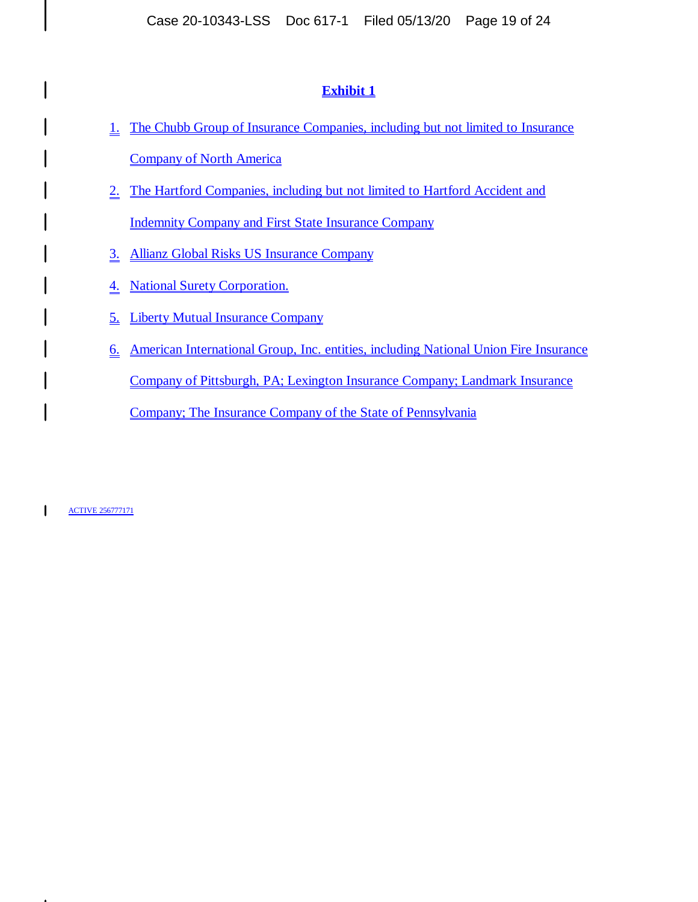## **Exhibit 1**

- 1. The Chubb Group of Insurance Companies, including but not limited to Insurance Company of North America
- 2. The Hartford Companies, including but not limited to Hartford Accident and Indemnity Company and First State Insurance Company
- 3. Allianz Global Risks US Insurance Company
- 4. National Surety Corporation.
- 5. Liberty Mutual Insurance Company
- 6. American International Group, Inc. entities, including National Union Fire Insurance

Company of Pittsburgh, PA; Lexington Insurance Company; Landmark Insurance

Company; The Insurance Company of the State of Pennsylvania

ACTIVE 256777171

ı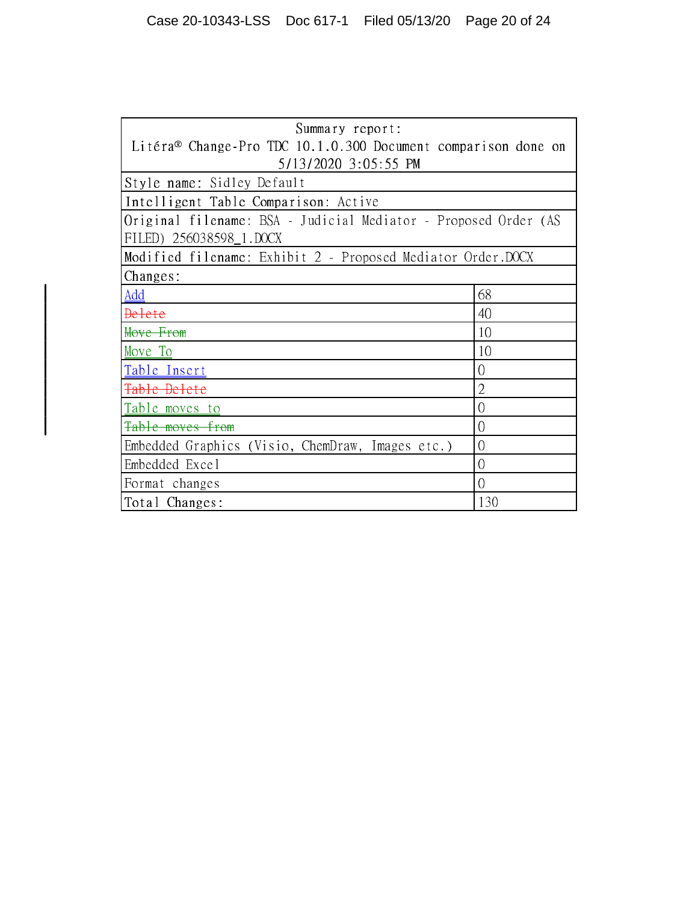| Summary report:                                                                            |                |  |  |  |
|--------------------------------------------------------------------------------------------|----------------|--|--|--|
| Litéra® Change-Pro TDC 10.1.0.300 Document comparison done on                              |                |  |  |  |
| 5/13/2020 3:05:55 PM                                                                       |                |  |  |  |
| Style name: Sidley Default                                                                 |                |  |  |  |
| Intelligent Table Comparison: Active                                                       |                |  |  |  |
| Original filename: BSA - Judicial Mediator - Proposed Order (AS<br>FILED) 256038598_1.DOCX |                |  |  |  |
| Modified filename: Exhibit 2 - Proposed Mediator Order.DOCX                                |                |  |  |  |
| Changes :                                                                                  |                |  |  |  |
| Add                                                                                        | 68             |  |  |  |
| <del>Delete</del>                                                                          | 40             |  |  |  |
| Move From                                                                                  | 10             |  |  |  |
| Move To                                                                                    | 10             |  |  |  |
| Table Insert                                                                               | $\overline{0}$ |  |  |  |
| <del>Table Delete</del>                                                                    | $\overline{2}$ |  |  |  |
| Table moves to                                                                             | $\Omega$       |  |  |  |
| <del>Table moves from</del>                                                                | 0              |  |  |  |
| Embedded Graphics (Visio, ChemDraw, Images etc.)                                           | $\theta$       |  |  |  |
| Embedded Excel                                                                             | $\overline{0}$ |  |  |  |
| Format changes                                                                             | $\overline{0}$ |  |  |  |
| Total Changes:                                                                             | 130            |  |  |  |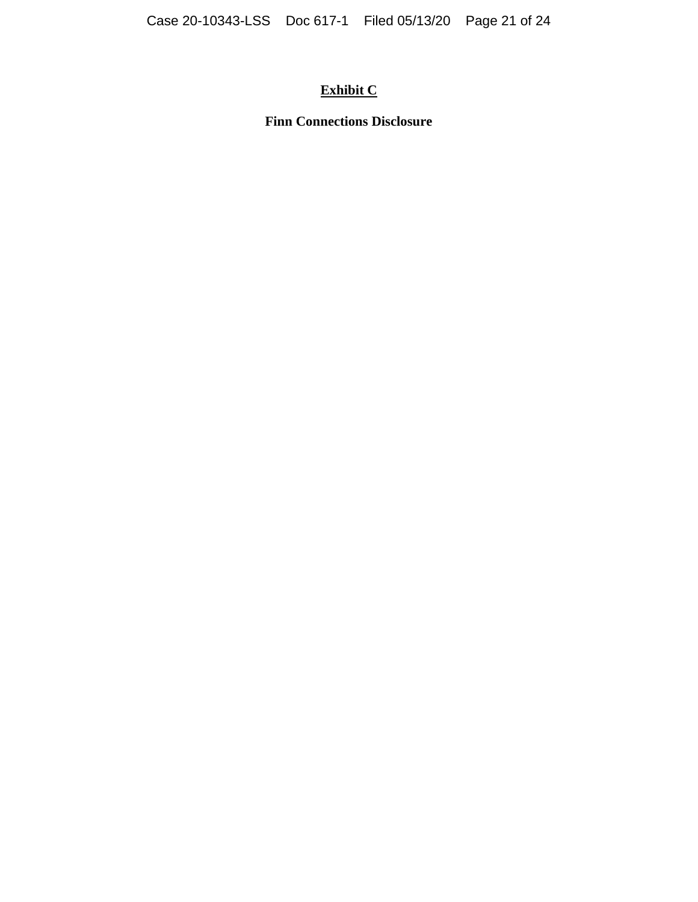# **Exhibit C**

**Finn Connections Disclosure**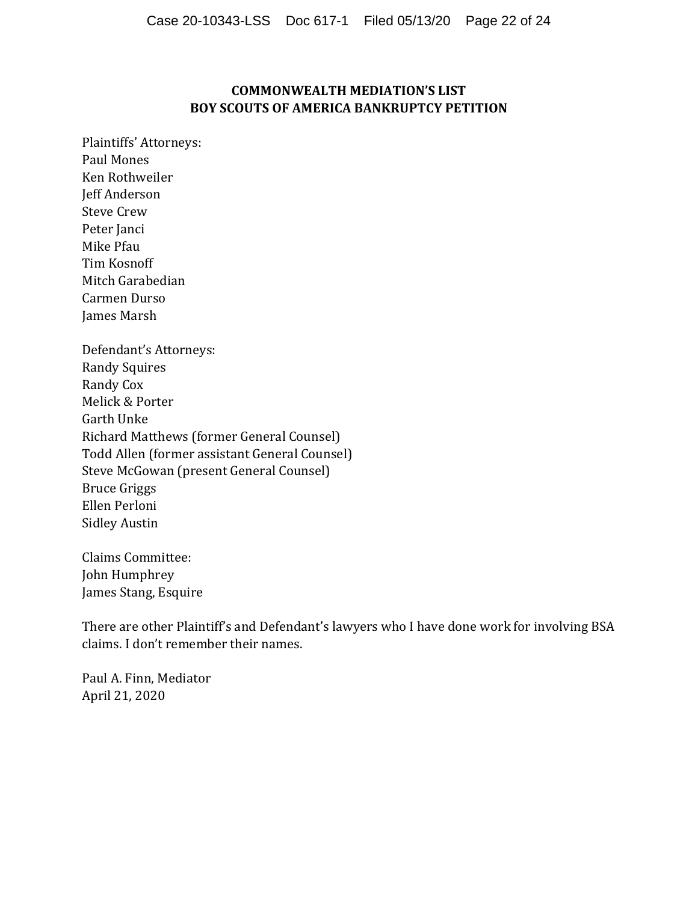## **COMMONWEALTH MEDIATION'S LIST BOY SCOUTS OF AMERICA BANKRUPTCY PETITION**

Plaintiffs' Attorneys: Paul Mones Ken Rothweiler Jeff Anderson Steve Crew Peter Janci Mike Pfau Tim Kosnoff Mitch Garabedian Carmen Durso James Marsh Defendant's Attorneys: Randy Squires Randy Cox Melick & Porter Garth Unke Richard Matthews (former General Counsel) Todd Allen (former assistant General Counsel) Steve McGowan (present General Counsel) Bruce Griggs Ellen Perloni Sidley Austin

Claims Committee: John Humphrey James Stang, Esquire

There are other Plaintiff's and Defendant's lawyers who I have done work for involving BSA claims. I don't remember their names.

Paul A. Finn, Mediator April 21, 2020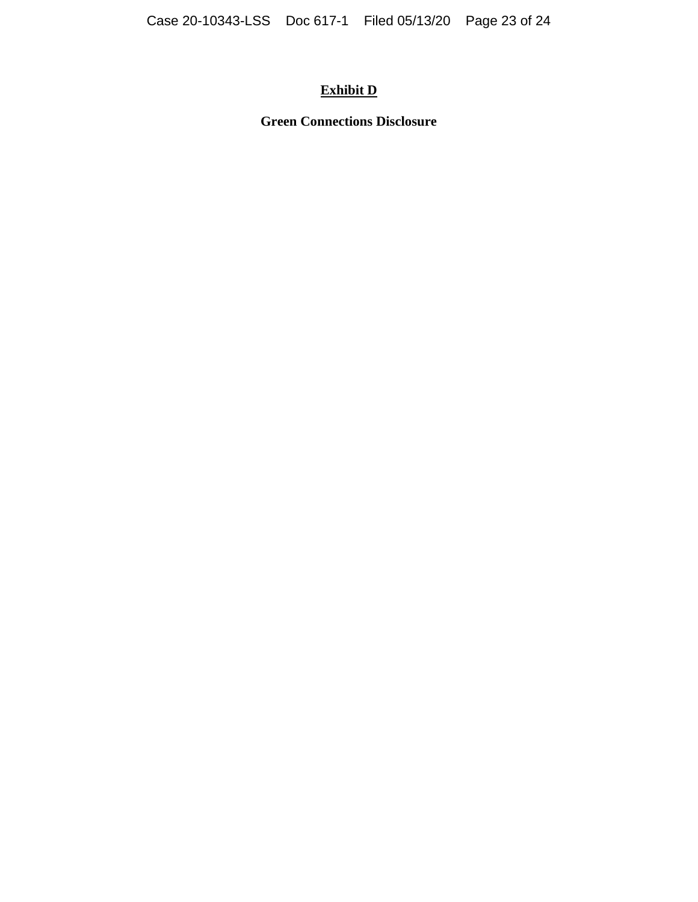# **Exhibit D**

**Green Connections Disclosure**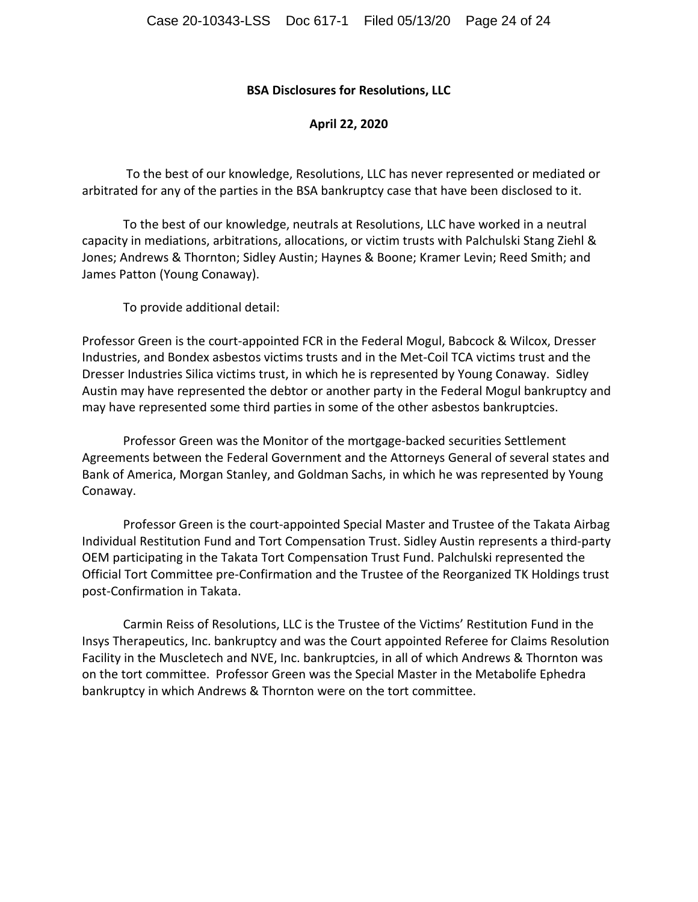#### **BSA Disclosures for Resolutions, LLC**

## **April 22, 2020**

To the best of our knowledge, Resolutions, LLC has never represented or mediated or arbitrated for any of the parties in the BSA bankruptcy case that have been disclosed to it.

To the best of our knowledge, neutrals at Resolutions, LLC have worked in a neutral capacity in mediations, arbitrations, allocations, or victim trusts with Palchulski Stang Ziehl & Jones; Andrews & Thornton; Sidley Austin; Haynes & Boone; Kramer Levin; Reed Smith; and James Patton (Young Conaway).

To provide additional detail:

Professor Green is the court-appointed FCR in the Federal Mogul, Babcock & Wilcox, Dresser Industries, and Bondex asbestos victims trusts and in the Met-Coil TCA victims trust and the Dresser Industries Silica victims trust, in which he is represented by Young Conaway. Sidley Austin may have represented the debtor or another party in the Federal Mogul bankruptcy and may have represented some third parties in some of the other asbestos bankruptcies.

Professor Green was the Monitor of the mortgage-backed securities Settlement Agreements between the Federal Government and the Attorneys General of several states and Bank of America, Morgan Stanley, and Goldman Sachs, in which he was represented by Young Conaway.

Professor Green is the court-appointed Special Master and Trustee of the Takata Airbag Individual Restitution Fund and Tort Compensation Trust. Sidley Austin represents a third-party OEM participating in the Takata Tort Compensation Trust Fund. Palchulski represented the Official Tort Committee pre-Confirmation and the Trustee of the Reorganized TK Holdings trust post-Confirmation in Takata.

Carmin Reiss of Resolutions, LLC is the Trustee of the Victims' Restitution Fund in the Insys Therapeutics, Inc. bankruptcy and was the Court appointed Referee for Claims Resolution Facility in the Muscletech and NVE, Inc. bankruptcies, in all of which Andrews & Thornton was on the tort committee. Professor Green was the Special Master in the Metabolife Ephedra bankruptcy in which Andrews & Thornton were on the tort committee.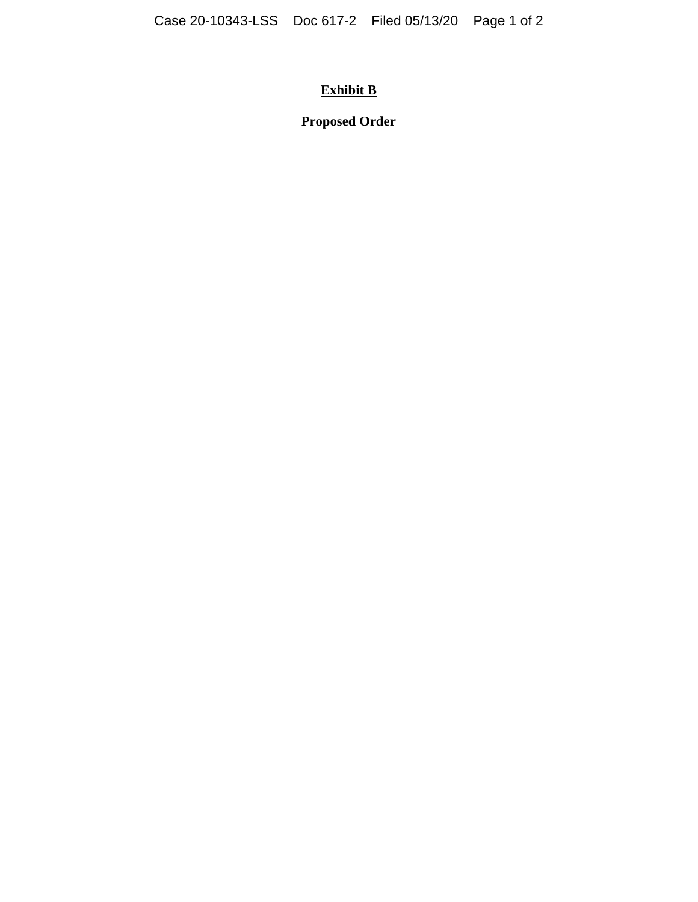# **Exhibit B**

**Proposed Order**